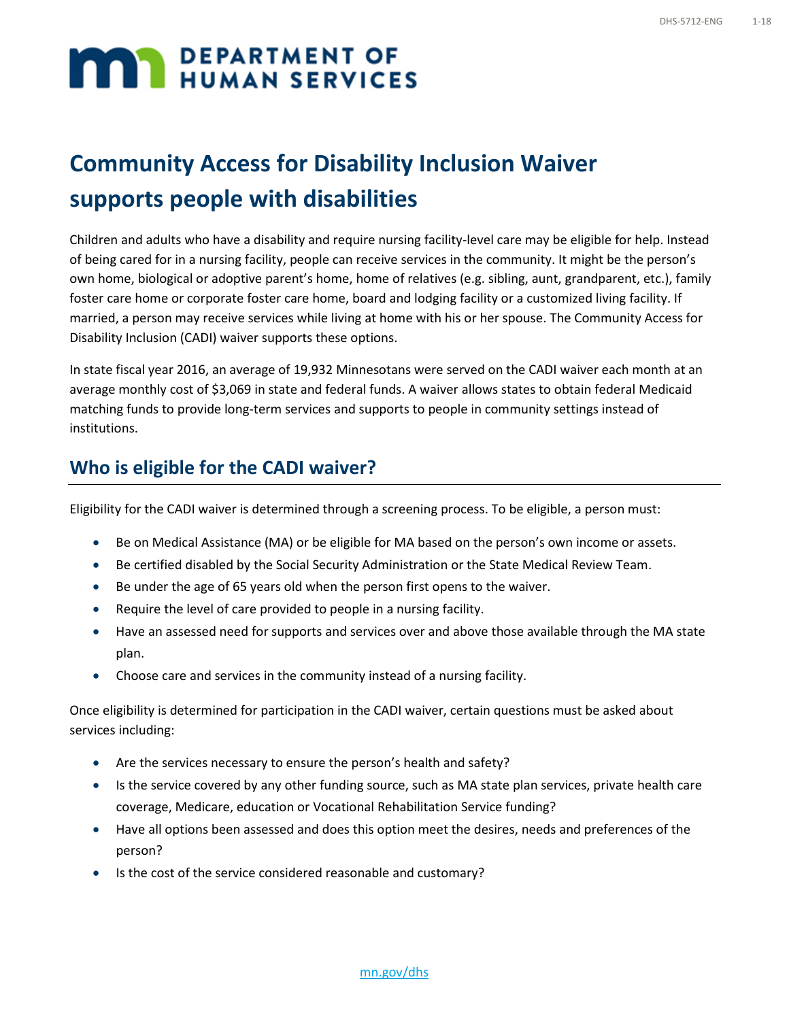# **MAN DEPARTMENT OF**

### **Community Access for Disability Inclusion Waiver supports people with disabilities**

Children and adults who have a disability and require nursing facility-level care may be eligible for help. Instead of being cared for in a nursing facility, people can receive services in the community. It might be the person's own home, biological or adoptive parent's home, home of relatives (e.g. sibling, aunt, grandparent, etc.), family foster care home or corporate foster care home, board and lodging facility or a customized living facility. If married, a person may receive services while living at home with his or her spouse. The Community Access for Disability Inclusion (CADI) waiver supports these options.

In state fiscal year 2016, an average of 19,932 Minnesotans were served on the CADI waiver each month at an average monthly cost of \$3,069 in state and federal funds. A waiver allows states to obtain federal Medicaid matching funds to provide long-term services and supports to people in community settings instead of institutions.

#### **Who is eligible for the CADI waiver?**

Eligibility for the CADI waiver is determined through a screening process. To be eligible, a person must:

- Be on Medical Assistance (MA) or be eligible for MA based on the person's own income or assets.
- Be certified disabled by the Social Security Administration or the State Medical Review Team.
- Be under the age of 65 years old when the person first opens to the waiver.
- Require the level of care provided to people in a nursing facility.
- Have an assessed need for supports and services over and above those available through the MA state plan.
- Choose care and services in the community instead of a nursing facility.

Once eligibility is determined for participation in the CADI waiver, certain questions must be asked about services including:

- Are the services necessary to ensure the person's health and safety?
- Is the service covered by any other funding source, such as MA state plan services, private health care coverage, Medicare, education or Vocational Rehabilitation Service funding?
- Have all options been assessed and does this option meet the desires, needs and preferences of the person?
- Is the cost of the service considered reasonable and customary?

#### [mn.gov/dhs](http://mn.gov/dhs/)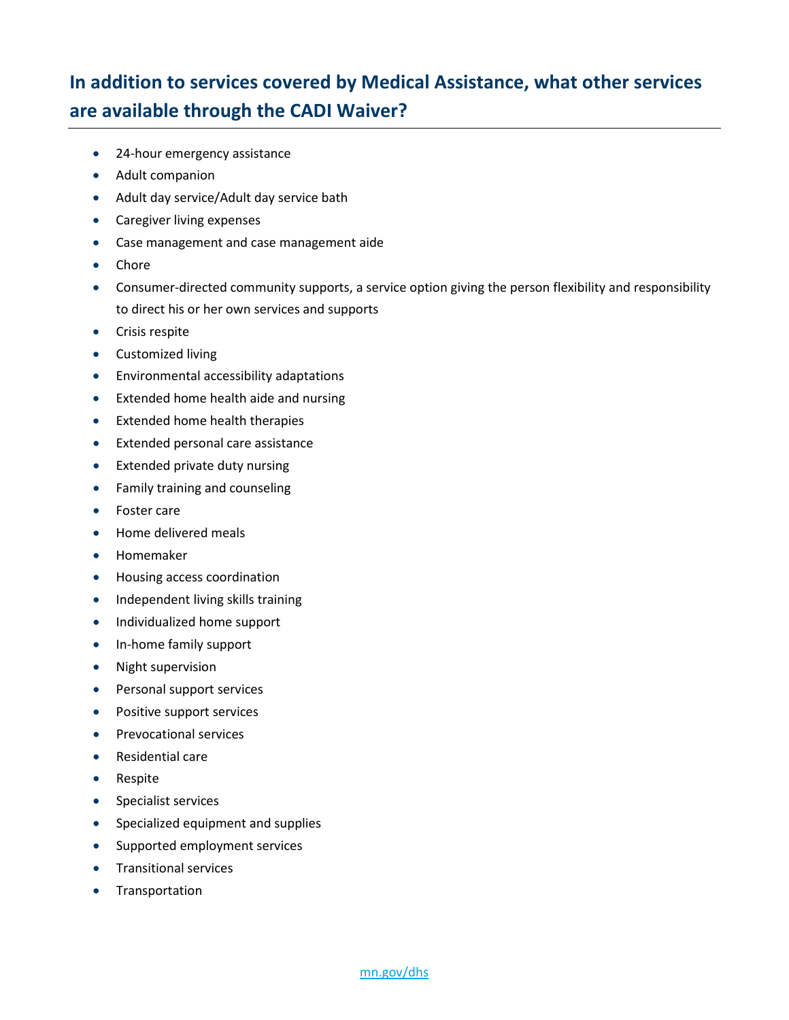### **In addition to services covered by Medical Assistance, what other services are available through the CADI Waiver?**

- 24-hour emergency assistance
- Adult companion
- Adult day service/Adult day service bath
- Caregiver living expenses
- Case management and case management aide
- Chore
- Consumer-directed community supports, a service option giving the person flexibility and responsibility to direct his or her own services and supports
- Crisis respite
- Customized living
- Environmental accessibility adaptations
- Extended home health aide and nursing
- Extended home health therapies
- Extended personal care assistance
- Extended private duty nursing
- Family training and counseling
- Foster care
- Home delivered meals
- Homemaker
- Housing access coordination
- Independent living skills training
- Individualized home support
- In-home family support
- Night supervision
- Personal support services
- Positive support services
- Prevocational services
- Residential care
- Respite
- Specialist services
- Specialized equipment and supplies
- Supported employment services
- Transitional services
- Transportation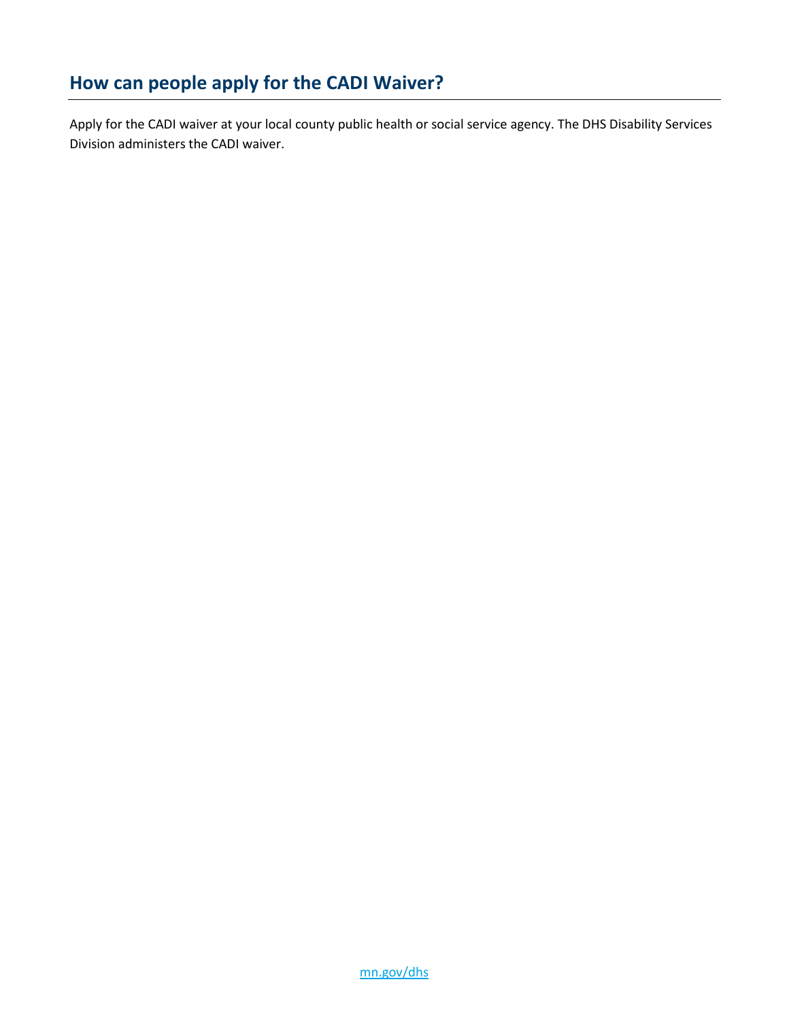Apply for the CADI waiver at your local county public health or social service agency. The DHS Disability Services Division administers the CADI waiver.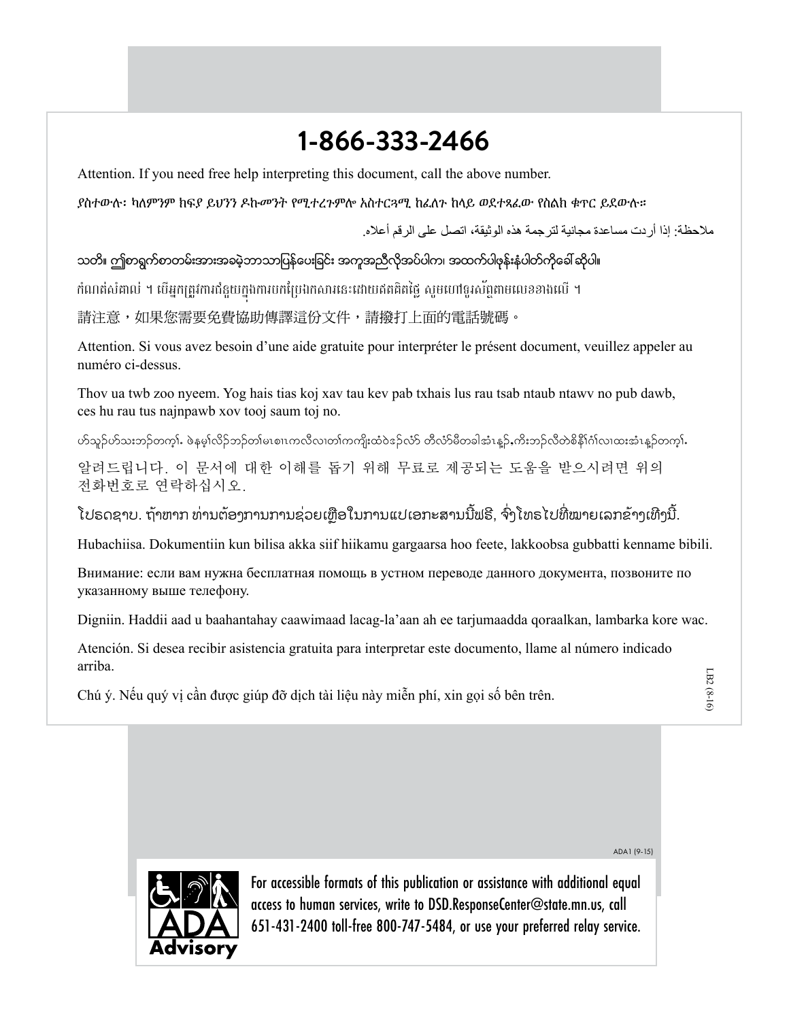## **1-866-333-2466**

Attention. If you need free help interpreting this document, call the above number.

ያስተውሉ፡ ካለምንም ክፍያ ይህንን ዶኩመንት የሚተረጉምሎ አስተርጓሚ ከፈለጉ ከላይ ወደተጻፈው የስልክ ቁጥር ይደውሉ።

مالحظة: إذا أردت مساعدة مجانية لترجمة هذه الوثيقة، اتصل على الرقم أعاله.

သတိ။ ဤစာရွက်စာတမ်းအားအခမဲ့ဘာသာပြန်ပေးခြင်း အကူအညီလိုအပ်ပါက၊ အထက်ပါဖုန်းနံပါတ်ကိုခေါ် ဆိုပါ။

កំណត់សំគាល់ ។ បើអ្នកត្រូវការជំនួយក្នុងការបកប្រែឯកសារនេះដោយឥតគិតថ្លៃ សូមហៅទូរស័ព្ទតាមលេខខាងលើ ។

請注意,如果您需要免費協助傳譯這份文件,請撥打上面的電話號碼。

Attention. Si vous avez besoin d'une aide gratuite pour interpréter le présent document, veuillez appeler au numéro ci-dessus.

Thov ua twb zoo nyeem. Yog hais tias koj xav tau kev pab txhais lus rau tsab ntaub ntawv no pub dawb, ces hu rau tus najnpawb xov tooj saum toj no.

ဟ်သူဉ်ဟ်သးဘဉ်တက္). ဖဲနမ္န္ကုလိဉ်ဘဉ်တျမၤစ္ပ္ကျပာက္လလာဟာကြကျိုးထံဝဲနည်လုံ တီလာမီစာခါအုံးနဉ် ကိုးဘဉ်လီတဲစိနီု၊ဂျလ၊ထးအုံးနဉ်တက္).

알려드립니다. 이 문서에 대한 이해를 돕기 위해 무료로 제공되는 도움을 받으시려면 위의 전화번호로 연락하십시오.

ໂປຣດຊາບ. ຖ້າຫາກ ທ່ານຕ້ອງການການຊ່ວຍເຫຼືອໃນການແປເອກະສານນີຟຣີ, ຈົ່ງໂທຣໄປທີ່ໝາຍເລກຂ້າງເທີ່ງນີ້.

Hubachiisa. Dokumentiin kun bilisa akka siif hiikamu gargaarsa hoo feete, lakkoobsa gubbatti kenname bibili.

Внимание: если вам нужна бесплатная помощь в устном переводе данного документа, позвоните по указанному выше телефону.

Digniin. Haddii aad u baahantahay caawimaad lacag-la'aan ah ee tarjumaadda qoraalkan, lambarka kore wac.

Atención. Si desea recibir asistencia gratuita para interpretar este documento, llame al número indicado arriba.

Chú ý. Nếu quý vị cần được giúp đỡ dịch tài liệu này miễn phí, xin gọi số bên trên.

ADA1 (9-15)



For accessible formats of this publication or assistance with additional equal access to human services, write to DSD.ResponseCenter@state.mn.us, call 651-431-2400 toll-free 800-747-5484, or use your preferred relay service.